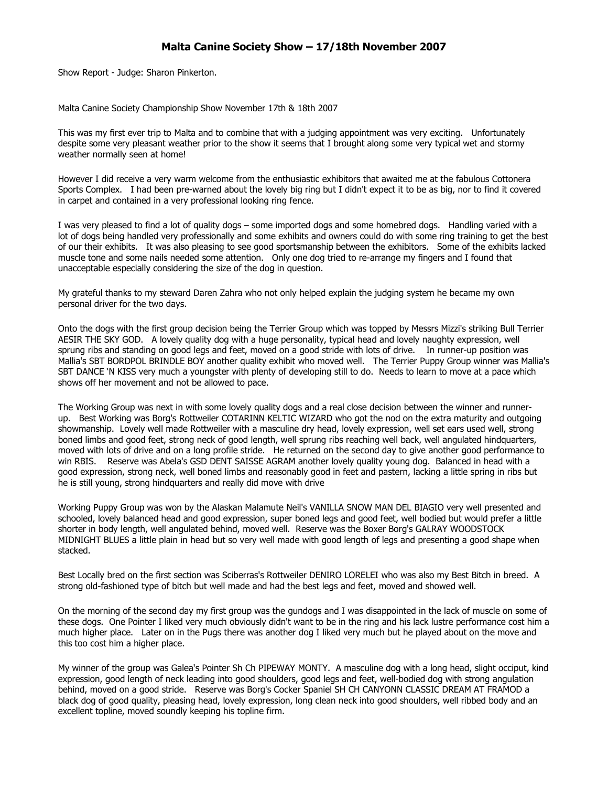## **Malta Canine Society Show – 17/18th November 2007**

Show Report - Judge: Sharon Pinkerton.

Malta Canine Society Championship Show November 17th & 18th 2007

This was my first ever trip to Malta and to combine that with a judging appointment was very exciting. Unfortunately despite some very pleasant weather prior to the show it seems that I brought along some very typical wet and stormy weather normally seen at home!

However I did receive a very warm welcome from the enthusiastic exhibitors that awaited me at the fabulous Cottonera Sports Complex. I had been pre-warned about the lovely big ring but I didn't expect it to be as big, nor to find it covered in carpet and contained in a very professional looking ring fence.

I was very pleased to find a lot of quality dogs – some imported dogs and some homebred dogs. Handling varied with a lot of dogs being handled very professionally and some exhibits and owners could do with some ring training to get the best of our their exhibits. It was also pleasing to see good sportsmanship between the exhibitors. Some of the exhibits lacked muscle tone and some nails needed some attention. Only one dog tried to re-arrange my fingers and I found that unacceptable especially considering the size of the dog in question.

My grateful thanks to my steward Daren Zahra who not only helped explain the judging system he became my own personal driver for the two days.

Onto the dogs with the first group decision being the Terrier Group which was topped by Messrs Mizzi's striking Bull Terrier AESIR THE SKY GOD. A lovely quality dog with a huge personality, typical head and lovely naughty expression, well sprung ribs and standing on good legs and feet, moved on a good stride with lots of drive. In runner-up position was Mallia's SBT BORDPOL BRINDLE BOY another quality exhibit who moved well. The Terrier Puppy Group winner was Mallia's SBT DANCE 'N KISS very much a youngster with plenty of developing still to do. Needs to learn to move at a pace which shows off her movement and not be allowed to pace.

The Working Group was next in with some lovely quality dogs and a real close decision between the winner and runnerup. Best Working was Borg's Rottweiler COTARINN KELTIC WIZARD who got the nod on the extra maturity and outgoing showmanship. Lovely well made Rottweiler with a masculine dry head, lovely expression, well set ears used well, strong boned limbs and good feet, strong neck of good length, well sprung ribs reaching well back, well angulated hindquarters, moved with lots of drive and on a long profile stride. He returned on the second day to give another good performance to win RBIS. Reserve was Abela's GSD DENT SAISSE AGRAM another lovely quality young dog. Balanced in head with a good expression, strong neck, well boned limbs and reasonably good in feet and pastern, lacking a little spring in ribs but he is still young, strong hindquarters and really did move with drive

Working Puppy Group was won by the Alaskan Malamute Neil's VANILLA SNOW MAN DEL BIAGIO very well presented and schooled, lovely balanced head and good expression, super boned legs and good feet, well bodied but would prefer a little shorter in body length, well angulated behind, moved well. Reserve was the Boxer Borg's GALRAY WOODSTOCK MIDNIGHT BLUES a little plain in head but so very well made with good length of legs and presenting a good shape when stacked.

Best Locally bred on the first section was Sciberras's Rottweiler DENIRO LORELEI who was also my Best Bitch in breed. A strong old-fashioned type of bitch but well made and had the best legs and feet, moved and showed well.

On the morning of the second day my first group was the gundogs and I was disappointed in the lack of muscle on some of these dogs. One Pointer I liked very much obviously didn't want to be in the ring and his lack lustre performance cost him a much higher place. Later on in the Pugs there was another dog I liked very much but he played about on the move and this too cost him a higher place.

My winner of the group was Galea's Pointer Sh Ch PIPEWAY MONTY. A masculine dog with a long head, slight occiput, kind expression, good length of neck leading into good shoulders, good legs and feet, well-bodied dog with strong angulation behind, moved on a good stride. Reserve was Borg's Cocker Spaniel SH CH CANYONN CLASSIC DREAM AT FRAMOD a black dog of good quality, pleasing head, lovely expression, long clean neck into good shoulders, well ribbed body and an excellent topline, moved soundly keeping his topline firm.